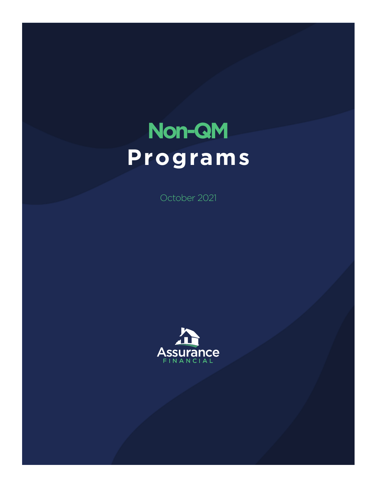# **Non-QM Programs**

October 2021

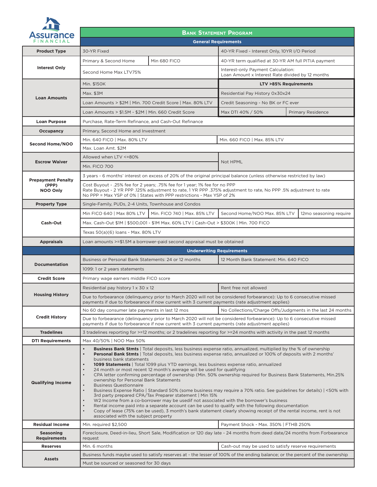

### **BANK STATEMENT PROGRAM**

| 793UI UI IU <del>C</del><br>FINANCIAL                 | <b>General Requirements</b>                                                                                                                                                                                                                                              |                                                                                                                                                                                                                                                                                                                                                                                                                                                                                                                                                                                                                                                                                                                                                                                                                                                                                                                                                                                                                                                              |                                                                                        |                                                            |
|-------------------------------------------------------|--------------------------------------------------------------------------------------------------------------------------------------------------------------------------------------------------------------------------------------------------------------------------|--------------------------------------------------------------------------------------------------------------------------------------------------------------------------------------------------------------------------------------------------------------------------------------------------------------------------------------------------------------------------------------------------------------------------------------------------------------------------------------------------------------------------------------------------------------------------------------------------------------------------------------------------------------------------------------------------------------------------------------------------------------------------------------------------------------------------------------------------------------------------------------------------------------------------------------------------------------------------------------------------------------------------------------------------------------|----------------------------------------------------------------------------------------|------------------------------------------------------------|
| <b>Product Type</b>                                   | 30-YR Fixed                                                                                                                                                                                                                                                              |                                                                                                                                                                                                                                                                                                                                                                                                                                                                                                                                                                                                                                                                                                                                                                                                                                                                                                                                                                                                                                                              | 40-YR Fixed - Interest Only, 10YR I/O Period                                           |                                                            |
|                                                       | Primary & Second Home                                                                                                                                                                                                                                                    | Min 680 FICO                                                                                                                                                                                                                                                                                                                                                                                                                                                                                                                                                                                                                                                                                                                                                                                                                                                                                                                                                                                                                                                 | 40-YR term qualified at 30-YR AM full PITIA payment                                    |                                                            |
| <b>Interest Only</b>                                  | Second Home Max LTV75%                                                                                                                                                                                                                                                   |                                                                                                                                                                                                                                                                                                                                                                                                                                                                                                                                                                                                                                                                                                                                                                                                                                                                                                                                                                                                                                                              | Interest-only Payment Calculation:<br>Loan Amount x Interest Rate divided by 12 months |                                                            |
|                                                       | Min. \$150K                                                                                                                                                                                                                                                              |                                                                                                                                                                                                                                                                                                                                                                                                                                                                                                                                                                                                                                                                                                                                                                                                                                                                                                                                                                                                                                                              | <b>LTV &gt;85% Requirements</b>                                                        |                                                            |
|                                                       | Max. \$3M                                                                                                                                                                                                                                                                |                                                                                                                                                                                                                                                                                                                                                                                                                                                                                                                                                                                                                                                                                                                                                                                                                                                                                                                                                                                                                                                              | Residential Pay History 0x30x24                                                        |                                                            |
| <b>Loan Amounts</b>                                   | Loan Amounts > \$2M   Min. 700 Credit Score   Max. 80% LTV                                                                                                                                                                                                               |                                                                                                                                                                                                                                                                                                                                                                                                                                                                                                                                                                                                                                                                                                                                                                                                                                                                                                                                                                                                                                                              | Credit Seasoning - No BK or FC ever                                                    |                                                            |
|                                                       |                                                                                                                                                                                                                                                                          | Loan Amounts > \$1.5M - \$2M   Min. 660 Credit Score<br>Max DTI 40% / 50%                                                                                                                                                                                                                                                                                                                                                                                                                                                                                                                                                                                                                                                                                                                                                                                                                                                                                                                                                                                    |                                                                                        | <b>Primary Residence</b>                                   |
| <b>Loan Purpose</b>                                   | Purchase, Rate-Term Refinance, and Cash-Out Refinance                                                                                                                                                                                                                    |                                                                                                                                                                                                                                                                                                                                                                                                                                                                                                                                                                                                                                                                                                                                                                                                                                                                                                                                                                                                                                                              |                                                                                        |                                                            |
| <b>Occupancy</b>                                      | Primary, Second Home and Investment                                                                                                                                                                                                                                      |                                                                                                                                                                                                                                                                                                                                                                                                                                                                                                                                                                                                                                                                                                                                                                                                                                                                                                                                                                                                                                                              |                                                                                        |                                                            |
|                                                       | Min. 640 FICO   Max. 80% LTV<br>Min. 660 FICO   Max. 85% LTV                                                                                                                                                                                                             |                                                                                                                                                                                                                                                                                                                                                                                                                                                                                                                                                                                                                                                                                                                                                                                                                                                                                                                                                                                                                                                              |                                                                                        |                                                            |
| Second Home/NOO                                       | Max. Loan Amt. \$2M                                                                                                                                                                                                                                                      |                                                                                                                                                                                                                                                                                                                                                                                                                                                                                                                                                                                                                                                                                                                                                                                                                                                                                                                                                                                                                                                              |                                                                                        |                                                            |
|                                                       | Allowed when LTV <=80%                                                                                                                                                                                                                                                   |                                                                                                                                                                                                                                                                                                                                                                                                                                                                                                                                                                                                                                                                                                                                                                                                                                                                                                                                                                                                                                                              |                                                                                        |                                                            |
| <b>Escrow Waiver</b>                                  | Min. FICO 700                                                                                                                                                                                                                                                            |                                                                                                                                                                                                                                                                                                                                                                                                                                                                                                                                                                                                                                                                                                                                                                                                                                                                                                                                                                                                                                                              | Not HPML                                                                               |                                                            |
|                                                       |                                                                                                                                                                                                                                                                          | 3 years - 6 months' interest on excess of 20% of the original principal balance (unless otherwise restricted by law)                                                                                                                                                                                                                                                                                                                                                                                                                                                                                                                                                                                                                                                                                                                                                                                                                                                                                                                                         |                                                                                        |                                                            |
| <b>Prepayment Penalty</b><br>(PPP)<br><b>NOO Only</b> | Cost Buyout - .25% fee for 2 years; .75% fee for 1 year; 1% fee for no PPP<br>Rate Buyout - 2 YR PPP .125% adjustment to rate, 1 YR PPP .375% adjustment to rate, No PPP .5% adjustment to rate<br>No PPP = Max YSP of 0%   States with PPP restrictions - Max YSP of 2% |                                                                                                                                                                                                                                                                                                                                                                                                                                                                                                                                                                                                                                                                                                                                                                                                                                                                                                                                                                                                                                                              |                                                                                        |                                                            |
| <b>Property Type</b>                                  | Single-Family, PUDs, 2-4 Units, Townhouse and Condos                                                                                                                                                                                                                     |                                                                                                                                                                                                                                                                                                                                                                                                                                                                                                                                                                                                                                                                                                                                                                                                                                                                                                                                                                                                                                                              |                                                                                        |                                                            |
|                                                       | Min FICO 640   Max 80% LTV                                                                                                                                                                                                                                               | Min. FICO 740   Max. 85% LTV                                                                                                                                                                                                                                                                                                                                                                                                                                                                                                                                                                                                                                                                                                                                                                                                                                                                                                                                                                                                                                 | Second Home/NOO Max. 85% LTV                                                           | 12mo seasoning require                                     |
| Cash-Out                                              | Max. Cash-Out \$1M   \$500,001 - \$1M Max. 60% LTV   Cash-Out > \$300K   Min. 700 FICO                                                                                                                                                                                   |                                                                                                                                                                                                                                                                                                                                                                                                                                                                                                                                                                                                                                                                                                                                                                                                                                                                                                                                                                                                                                                              |                                                                                        |                                                            |
|                                                       | Texas 50(a)(6) loans - Max. 80% LTV                                                                                                                                                                                                                                      |                                                                                                                                                                                                                                                                                                                                                                                                                                                                                                                                                                                                                                                                                                                                                                                                                                                                                                                                                                                                                                                              |                                                                                        |                                                            |
| <b>Appraisals</b>                                     |                                                                                                                                                                                                                                                                          | Loan amounts >=\$1.5M a borrower-paid second appraisal must be obtained                                                                                                                                                                                                                                                                                                                                                                                                                                                                                                                                                                                                                                                                                                                                                                                                                                                                                                                                                                                      |                                                                                        |                                                            |
|                                                       | <b>Underwriting Requirements</b>                                                                                                                                                                                                                                         |                                                                                                                                                                                                                                                                                                                                                                                                                                                                                                                                                                                                                                                                                                                                                                                                                                                                                                                                                                                                                                                              |                                                                                        |                                                            |
|                                                       |                                                                                                                                                                                                                                                                          |                                                                                                                                                                                                                                                                                                                                                                                                                                                                                                                                                                                                                                                                                                                                                                                                                                                                                                                                                                                                                                                              |                                                                                        |                                                            |
|                                                       | Business or Personal Bank Statements: 24 or 12 months                                                                                                                                                                                                                    |                                                                                                                                                                                                                                                                                                                                                                                                                                                                                                                                                                                                                                                                                                                                                                                                                                                                                                                                                                                                                                                              | 12 Month Bank Statement: Min. 640 FICO                                                 |                                                            |
| <b>Documentation</b>                                  | 1099: 1 or 2 years statements                                                                                                                                                                                                                                            |                                                                                                                                                                                                                                                                                                                                                                                                                                                                                                                                                                                                                                                                                                                                                                                                                                                                                                                                                                                                                                                              |                                                                                        |                                                            |
| <b>Credit Score</b>                                   | Primary wage earners middle FICO score                                                                                                                                                                                                                                   |                                                                                                                                                                                                                                                                                                                                                                                                                                                                                                                                                                                                                                                                                                                                                                                                                                                                                                                                                                                                                                                              |                                                                                        |                                                            |
|                                                       | Residential pay history 1 x 30 x 12                                                                                                                                                                                                                                      |                                                                                                                                                                                                                                                                                                                                                                                                                                                                                                                                                                                                                                                                                                                                                                                                                                                                                                                                                                                                                                                              | Rent free not allowed                                                                  |                                                            |
| <b>Housing History</b>                                |                                                                                                                                                                                                                                                                          | Due to forbearance (delinquency prior to March 2020 will not be considered forbearance): Up to 6 consecutive missed<br>payments if due to forbearance if now current with 3 current payments (rate adjustment applies)                                                                                                                                                                                                                                                                                                                                                                                                                                                                                                                                                                                                                                                                                                                                                                                                                                       |                                                                                        |                                                            |
|                                                       | No 60 day consumer late payments in last 12 mos                                                                                                                                                                                                                          |                                                                                                                                                                                                                                                                                                                                                                                                                                                                                                                                                                                                                                                                                                                                                                                                                                                                                                                                                                                                                                                              |                                                                                        | No Collections/Charge Offs/Judgments in the last 24 months |
| <b>Credit History</b>                                 |                                                                                                                                                                                                                                                                          | Due to forbearance (delinguency prior to March 2020 will not be considered forbearance): Up to 6 consecutive missed<br>payments if due to forbearance if now current with 3 current payments (rate adjustment applies)                                                                                                                                                                                                                                                                                                                                                                                                                                                                                                                                                                                                                                                                                                                                                                                                                                       |                                                                                        |                                                            |
| <b>Tradelines</b>                                     |                                                                                                                                                                                                                                                                          | 3 tradelines reporting for >=12 months; or 2 tradelines reporting for >=24 months with activity in the past 12 months                                                                                                                                                                                                                                                                                                                                                                                                                                                                                                                                                                                                                                                                                                                                                                                                                                                                                                                                        |                                                                                        |                                                            |
| <b>DTI Requirements</b>                               | Max 40/50%   NOO Max 50%                                                                                                                                                                                                                                                 |                                                                                                                                                                                                                                                                                                                                                                                                                                                                                                                                                                                                                                                                                                                                                                                                                                                                                                                                                                                                                                                              |                                                                                        |                                                            |
| <b>Qualifying Income</b>                              | $\bullet$<br>$\bullet$<br>business bank statements<br>$\bullet$<br>$\bullet$<br>ownership for Personal Bank Statements<br><b>Business Questionnaire</b><br>$\bullet$<br>associated with the subject property                                                             | <b>Business Bank Stmts</b>   Total deposits, less business expense ratio, annualized, multiplied by the % of ownership<br><b>Personal Bank Stmts</b>   Total deposits, less business expense ratio, annualized or 100% of deposits with 2 months'<br><b>1099 Statements</b>   Total 1099 plus YTD earnings, less business expense ratio, annualized<br>24 month or most recent 12 month's average will be used for qualifying<br>CPA letter confirming percentage of ownership (Min. 50% ownership required for Business Bank Statements, Min.25%<br>Business Expense Ratio   Standard 50% (some business may require a 70% ratio. See guidelines for details)   <50% with<br>3rd party prepared CPA/Tax Preparer statement   Min 15%<br>W2 Income from a co-borrower may be usedif not associated with the borrower's business<br>Rental income paid into a separate account can be used to qualify with the following documentation<br>Copy of lease (75% can be used), 3 month's bank statement clearly showing receipt of the rental income, rent is not |                                                                                        |                                                            |
| <b>Residual Income</b>                                | Min. required \$2,500                                                                                                                                                                                                                                                    |                                                                                                                                                                                                                                                                                                                                                                                                                                                                                                                                                                                                                                                                                                                                                                                                                                                                                                                                                                                                                                                              | Payment Shock - Max. 350%   FTHB 250%                                                  |                                                            |
| <b>Seasoning</b><br><b>Requirements</b>               | request                                                                                                                                                                                                                                                                  | Foreclosure, Deed-in-lieu, Short Sale, Modification or 120 day late - 24 months from deed date/24 months from Forbearance                                                                                                                                                                                                                                                                                                                                                                                                                                                                                                                                                                                                                                                                                                                                                                                                                                                                                                                                    |                                                                                        |                                                            |
| <b>Reserves</b>                                       | Min. 6 months                                                                                                                                                                                                                                                            |                                                                                                                                                                                                                                                                                                                                                                                                                                                                                                                                                                                                                                                                                                                                                                                                                                                                                                                                                                                                                                                              | Cash-out may be used to satisfy reserve requirements                                   |                                                            |
| <b>Assets</b>                                         | Must be sourced or seasoned for 30 days                                                                                                                                                                                                                                  | Business funds maybe used to satisfy reserves at - the lesser of 100% of the ending balance; or the percent of the ownership                                                                                                                                                                                                                                                                                                                                                                                                                                                                                                                                                                                                                                                                                                                                                                                                                                                                                                                                 |                                                                                        |                                                            |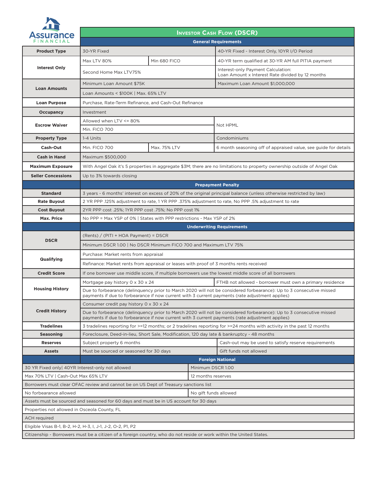

#### **INVESTOR CASH FLOW (DSCR)**

| <b>Assurance</b><br>FINANCIAL                                       | <b>General Requirements</b>                                                                                                                                                                                            |                                                                       |                                                                                                                         |  |
|---------------------------------------------------------------------|------------------------------------------------------------------------------------------------------------------------------------------------------------------------------------------------------------------------|-----------------------------------------------------------------------|-------------------------------------------------------------------------------------------------------------------------|--|
| <b>Product Type</b>                                                 | 30-YR Fixed                                                                                                                                                                                                            |                                                                       | 40-YR Fixed - Interest Only, 10YR I/O Period                                                                            |  |
|                                                                     | <b>Max LTV 80%</b>                                                                                                                                                                                                     | Min 680 FICO                                                          | 40-YR term qualified at 30-YR AM full PITIA payment                                                                     |  |
| <b>Interest Only</b>                                                | Second Home Max LTV75%                                                                                                                                                                                                 |                                                                       | Interest-only Payment Calculation:<br>Loan Amount x Interest Rate divided by 12 months                                  |  |
|                                                                     | Minimum Loan Amount \$75K                                                                                                                                                                                              |                                                                       | Maximum Loan Amount \$1,000,000                                                                                         |  |
| <b>Loan Amounts</b>                                                 | Loan Amounts < \$100K   Max. 65% LTV                                                                                                                                                                                   |                                                                       |                                                                                                                         |  |
| <b>Loan Purpose</b>                                                 | Purchase, Rate-Term Refinance, and Cash-Out Refinance                                                                                                                                                                  |                                                                       |                                                                                                                         |  |
| <b>Occupancy</b>                                                    | Investment                                                                                                                                                                                                             |                                                                       |                                                                                                                         |  |
| <b>Escrow Waiver</b>                                                | Allowed when LTV <= 80%                                                                                                                                                                                                |                                                                       | Not HPML                                                                                                                |  |
|                                                                     | Min. FICO 700                                                                                                                                                                                                          |                                                                       |                                                                                                                         |  |
| <b>Property Type</b>                                                | 1-4 Units                                                                                                                                                                                                              |                                                                       | Condominiums                                                                                                            |  |
| Cash-Out                                                            | Min. FICO 700                                                                                                                                                                                                          | Max. 75% LTV                                                          | 6 month seasoning off of appraised value, see guide for details                                                         |  |
| Cash in Hand                                                        | Maximum \$500,000                                                                                                                                                                                                      |                                                                       |                                                                                                                         |  |
| <b>Maximum Exposure</b>                                             |                                                                                                                                                                                                                        |                                                                       | With Angel Oak it's 5 properties in aggregate \$3M; there are no limitations to property ownership outside of Angel Oak |  |
| <b>Seller Concessions</b>                                           | Up to 3% towards closing                                                                                                                                                                                               |                                                                       |                                                                                                                         |  |
|                                                                     |                                                                                                                                                                                                                        |                                                                       | <b>Prepayment Penalty</b>                                                                                               |  |
| <b>Standard</b>                                                     |                                                                                                                                                                                                                        |                                                                       | 3 years - 6 months' interest on excess of 20% of the original principal balance (unless otherwise restricted by law)    |  |
| <b>Rate Buyout</b>                                                  | 2 YR PPP .125% adjustment to rate, 1 YR PPP .375% adjustment to rate, No PPP .5% adjustment to rate                                                                                                                    |                                                                       |                                                                                                                         |  |
| <b>Cost Buyout</b>                                                  | 2YR PPP cost .25%; 1YR PPP cost .75%; No PPP cost 1%                                                                                                                                                                   |                                                                       |                                                                                                                         |  |
| Max. Price                                                          |                                                                                                                                                                                                                        | No PPP = Max YSP of 0%   States with PPP restrictions - Max YSP of 2% |                                                                                                                         |  |
|                                                                     |                                                                                                                                                                                                                        |                                                                       | <b>Underwriting Requirements</b>                                                                                        |  |
| <b>DSCR</b>                                                         | $(Rents) / (PITI + HOA Payment) = DSCR$                                                                                                                                                                                |                                                                       |                                                                                                                         |  |
|                                                                     | Minimum DSCR 1.00   No DSCR Minimum FICO 700 and Maximum LTV 75%                                                                                                                                                       |                                                                       |                                                                                                                         |  |
| Qualifying                                                          | Purchase: Market rents from appraisal                                                                                                                                                                                  |                                                                       |                                                                                                                         |  |
|                                                                     | Refinance: Market rents from appraisal or leases with proof of 3 months rents received                                                                                                                                 |                                                                       |                                                                                                                         |  |
| <b>Credit Score</b>                                                 | If one borrower use middle score, if multiple borrowers use the lowest middle score of all borrowers                                                                                                                   |                                                                       |                                                                                                                         |  |
|                                                                     | Mortgage pay history 0 x 30 x 24<br>FTHB not allowed - borrower must own a primary residence                                                                                                                           |                                                                       |                                                                                                                         |  |
| <b>Housing History</b>                                              | Due to forbearance (delinquency prior to March 2020 will not be considered forbearance): Up to 3 consecutive missed<br>payments if due to forbearance if now current with 3 current payments (rate adjustment applies) |                                                                       |                                                                                                                         |  |
|                                                                     | Consumer credit pay history 0 x 30 x 24                                                                                                                                                                                |                                                                       |                                                                                                                         |  |
| <b>Credit History</b>                                               | Due to forbearance (delinquency prior to March 2020 will not be considered forbearance): Up to 3 consecutive missed<br>payments if due to forbearance if now current with 3 current payments (rate adjustment applies) |                                                                       |                                                                                                                         |  |
| <b>Tradelines</b>                                                   | 3 tradelines reporting for >=12 months; or 2 tradelines reporting for >=24 months with activity in the past 12 months                                                                                                  |                                                                       |                                                                                                                         |  |
| <b>Seasoning</b>                                                    | Foreclosure, Deed-in-lieu, Short Sale, Modification, 120 day late & bankruptcy - 48 months                                                                                                                             |                                                                       |                                                                                                                         |  |
| <b>Reserves</b>                                                     | Subject property 6 months                                                                                                                                                                                              |                                                                       | Cash-out may be used to satisfy reserve requirements                                                                    |  |
| <b>Assets</b>                                                       | Must be sourced or seasoned for 30 days                                                                                                                                                                                |                                                                       | Gift funds not allowed                                                                                                  |  |
|                                                                     | <b>Foreign National</b>                                                                                                                                                                                                |                                                                       |                                                                                                                         |  |
|                                                                     | 30 YR Fixed only 40YR Interest-only not allowed<br>Minimum DSCR 1.00<br>12 months reserves                                                                                                                             |                                                                       |                                                                                                                         |  |
| Max 70% LTV   Cash-Out Max 65% LTV                                  | Borrowers must clear OFAC review and cannot be on US Dept of Treasury sanctions list                                                                                                                                   |                                                                       |                                                                                                                         |  |
| No forbearance allowed                                              |                                                                                                                                                                                                                        | No gift funds allowed                                                 |                                                                                                                         |  |
|                                                                     | Assets must be sourced and seasoned for 60 days and must be in US account for 30 days                                                                                                                                  |                                                                       |                                                                                                                         |  |
|                                                                     |                                                                                                                                                                                                                        |                                                                       |                                                                                                                         |  |
| Properties not allowed in Osceola County, FL<br><b>ACH</b> required |                                                                                                                                                                                                                        |                                                                       |                                                                                                                         |  |
|                                                                     | Eligible Visas B-1, B-2, H-2, H-3, I, J-1, J-2, O-2, P1, P2                                                                                                                                                            |                                                                       |                                                                                                                         |  |
|                                                                     | Citizenship - Borrowers must be a citizen of a foreign country, who do not reside or work within the United States.                                                                                                    |                                                                       |                                                                                                                         |  |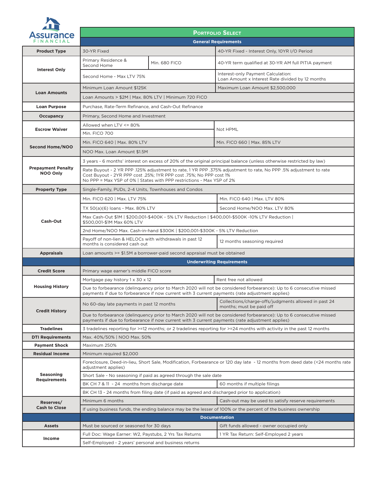

**Income**

**PORTFOLIO SELECT** ince **General Requirements Product Type** 30-YR Fixed 40-YR Fixed - Interest Only, 10YR I/O Period Primary Residence & Finding Nessue in the Min. 680 FICO 40-YR term qualified at 30-YR AM full PITIA payment **Interest Only** Second Home - Max LTV 75% Interest-only Payment Calculation: Loan Amount x Interest Rate divided by 12 months Minimum Loan Amount \$125K Maximum Loan Amount \$2,500,000 **Loan Amounts** Loan Amounts > \$2M | Max. 80% LTV | Minimum 720 FICO **Loan Purpose** Purchase, Rate-Term Refinance, and Cash-Out Refinance **Occupancy** Primary, Second Home and Investment Allowed when LTV <= 80% **Escrow Waiver** Not HPML Min. FICO 700 Min. FICO 640 | Max. 80% LTV | Min. FICO 660 | Max. 85% LTV **Second Home/NOO** NOO Max. Loan Amount \$1.5M 3 years - 6 months' interest on excess of 20% of the original principal balance (unless otherwise restricted by law) **Prepayment Penalty** Rate Buyout - 2 YR PPP .125% adjustment to rate, 1 YR PPP .375% adjustment to rate, No PPP .5% adjustment to rate **NOO Only** Cost Buyout - 2YR PPP cost .25%; 1YR PPP cost .75%; No PPP cost 1% No PPP = Max YSP of 0% | States with PPP restrictions - Max YSP of 2% **Property Type** Single-Family, PUDs, 2-4 Units, Townhouses and Condos Min. FICO 620 | Max. LTV 75% Min. FICO 640 | Max. LTV 80% TX 50(a)(6) loans - Max. 80% LTV Second Home/NOO Max. LTV 80% Max Cash-Out \$1M | \$200,001-\$400K - 5% LTV Reduction | \$400,001-\$500K -10% LTV Reduction | **Cash-Out** \$500,001-\$1M Max 60% LTV 2nd Home/NOO Max. Cash-in-hand \$300K | \$200,001-\$300K - 5% LTV Reduction Payoff of non-lien & HELOCs with withdrawals in past 12 Payon of non-nent & HELOCS with withdrawals in past 12 months seasoning required<br>months is considered cash out **Appraisals** Loan amounts >= \$1.5M a borrower-paid second appraisal must be obtained **Underwriting Requirements Credit Score** Primary wage earner's middle FICO score Mortgage pay history  $1 \times 30 \times 12$  Rent free not allowed **Housing History** Due to forbearance (delinquency prior to March 2020 will not be considered forbearance): Up to 6 consecutive missed payments if due to forbearance if now current with 3 current payments (rate adjustment applies) No 60-day late payments in past 12 months Collections/charge-offs/judgments allowed in past 24 months; must be paid off **Credit History** Due to forbearance (delinquency prior to March 2020 will not be considered forbearance): Up to 6 consecutive missed payments if due to forbearance if now current with 3 current payments (rate adjustment applies) **Tradelines** 3 tradelines reporting for >=12 months; or 2 tradelines reporting for >=24 months with activity in the past 12 months **DTI Requirements** | Max. 40%/50% | NOO Max. 50% **Payment Shock** | Maximum 250% **Residual Income** | Minimum required \$2,000 Foreclosure, Deed-in-lieu, Short Sale, Modification, Forbearance or 120 day late - 12 months from deed date (<24 months rate adiustment applies) **Seasoning**  Short Sale - No seasoning if paid as agreed through the sale date **Requirements** BK CH 7 & 11 - 24 months from discharge date 60 months if multiple fi lings BK CH 13 - 24 months from filing date (if paid as agreed and discharged prior to application) Minimum 6 months Cash-out may be used to satisfy reserve requirements **Reserves/ Cash to Close** If using business funds, the ending balance may be the lesser of 100% or the percent of the business ownership

**Documentation**

Assets Must be sourced or seasoned for 30 days Gift funds allowed - owner occupied only

Self-Employed - 2 years' personal and business returns

Full Doc: Wage Earner: W2, Paystubs, 2 Yrs Tax Returns | 1 YR Tax Return: Self-Employed 2 years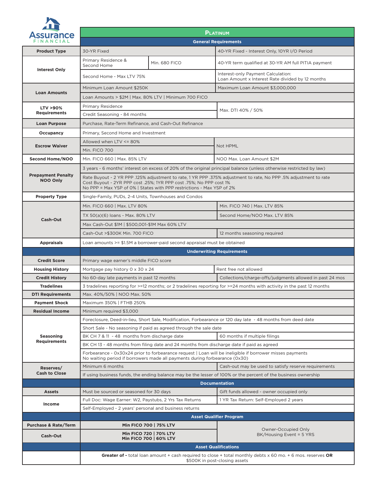

| <u> a shekara ta 1991</u><br><b>Assurance</b> | <b>PLATINUM</b>                                                                                                                                                                                                                                                  |                                                                                        |  |  |
|-----------------------------------------------|------------------------------------------------------------------------------------------------------------------------------------------------------------------------------------------------------------------------------------------------------------------|----------------------------------------------------------------------------------------|--|--|
| FINANCIAL                                     |                                                                                                                                                                                                                                                                  | <b>General Requirements</b>                                                            |  |  |
| <b>Product Type</b>                           | 30-YR Fixed                                                                                                                                                                                                                                                      | 40-YR Fixed - Interest Only, 10YR I/O Period                                           |  |  |
| <b>Interest Only</b>                          | Primary Residence &<br>Min. 680 FICO<br>Second Home                                                                                                                                                                                                              | 40-YR term qualified at 30-YR AM full PITIA payment                                    |  |  |
|                                               | Second Home - Max LTV 75%                                                                                                                                                                                                                                        | Interest-only Payment Calculation:<br>Loan Amount x Interest Rate divided by 12 months |  |  |
|                                               | Minimum Loan Amount \$250K                                                                                                                                                                                                                                       | Maximum Loan Amount \$3,000,000                                                        |  |  |
| <b>Loan Amounts</b>                           | Loan Amounts > \$2M   Max. 80% LTV   Minimum 700 FICO                                                                                                                                                                                                            |                                                                                        |  |  |
| LTV >90%                                      | <b>Primary Residence</b>                                                                                                                                                                                                                                         |                                                                                        |  |  |
| <b>Requirements</b>                           | Max. DTI 40% / 50%<br>Credit Seasoning - 84 months                                                                                                                                                                                                               |                                                                                        |  |  |
| <b>Loan Purpose</b>                           | Purchase, Rate-Term Refinance, and Cash-Out Refinance                                                                                                                                                                                                            |                                                                                        |  |  |
| Occupancy                                     | Primary, Second Home and Investment                                                                                                                                                                                                                              |                                                                                        |  |  |
| <b>Escrow Waiver</b>                          | Allowed when LTV <= 80%                                                                                                                                                                                                                                          | Not HPML                                                                               |  |  |
|                                               | Min. FICO 700                                                                                                                                                                                                                                                    |                                                                                        |  |  |
| Second Home/NOO                               | Min. FICO 660   Max. 85% LTV<br>NOO Max. Loan Amount \$2M                                                                                                                                                                                                        |                                                                                        |  |  |
|                                               | 3 years - 6 months' interest on excess of 20% of the original principal balance (unless otherwise restricted by law)                                                                                                                                             |                                                                                        |  |  |
| <b>Prepayment Penalty</b><br><b>NOO Only</b>  | Rate Buyout - 2 YR PPP .125% adjustment to rate, 1 YR PPP .375% adjustment to rate, No PPP .5% adjustment to rate<br>Cost Buyout - 2YR PPP cost .25%; 1YR PPP cost .75%; No PPP cost 1%<br>No PPP = Max YSP of 0%   States with PPP restrictions - Max YSP of 2% |                                                                                        |  |  |
| <b>Property Type</b>                          | Single-Family, PUDs, 2-4 Units, Townhouses and Condos                                                                                                                                                                                                            |                                                                                        |  |  |
|                                               | Min. FICO 660   Max. LTV 80%                                                                                                                                                                                                                                     | Min. FICO 740   Max. LTV 85%                                                           |  |  |
|                                               | TX 50(a)(6) loans - Max. 80% LTV                                                                                                                                                                                                                                 | Second Home/NOO Max. LTV 85%                                                           |  |  |
| <b>Cash-Out</b>                               | Max Cash-Out \$1M   \$500,001-\$1M Max 60% LTV                                                                                                                                                                                                                   |                                                                                        |  |  |
|                                               | Cash-Out > \$300K Min. 700 FICO                                                                                                                                                                                                                                  | 12 months seasoning required                                                           |  |  |
| <b>Appraisals</b>                             | Loan amounts $>= $1.5M$ a borrower-paid second appraisal must be obtained                                                                                                                                                                                        |                                                                                        |  |  |
|                                               |                                                                                                                                                                                                                                                                  | <b>Underwriting Requirements</b>                                                       |  |  |
| <b>Credit Score</b>                           | Primary wage earner's middle FICO score                                                                                                                                                                                                                          |                                                                                        |  |  |
| <b>Housing History</b>                        | Mortgage pay history 0 x 30 x 24<br>Rent free not allowed                                                                                                                                                                                                        |                                                                                        |  |  |
| <b>Credit History</b>                         | No 60-day late payments in past 12 months<br>Collections/charge-offs/judgments allowed in past 24 mos                                                                                                                                                            |                                                                                        |  |  |
| <b>Tradelines</b>                             | 3 tradelines reporting for >=12 months; or 2 tradelines reporting for >=24 months with activity in the past 12 months                                                                                                                                            |                                                                                        |  |  |
| <b>DTI Requirements</b>                       | Max. 40%/50%   NOO Max. 50%                                                                                                                                                                                                                                      |                                                                                        |  |  |
| <b>Payment Shock</b>                          | Maximum 350%   FTHB 250%                                                                                                                                                                                                                                         |                                                                                        |  |  |
| <b>Residual Income</b>                        | Minimum required \$3,000                                                                                                                                                                                                                                         |                                                                                        |  |  |
|                                               | Foreclosure, Deed-in-lieu, Short Sale, Modification, Forbearance or 120 day late - 48 months from deed date                                                                                                                                                      |                                                                                        |  |  |
|                                               | Short Sale - No seasoning if paid as agreed through the sale date                                                                                                                                                                                                |                                                                                        |  |  |
| <b>Seasoning</b><br><b>Requirements</b>       | BK CH 7 & 11 - 48 months from discharge date<br>60 months if multiple filings                                                                                                                                                                                    |                                                                                        |  |  |
|                                               |                                                                                                                                                                                                                                                                  |                                                                                        |  |  |
|                                               | BK CH 13 - 48 months from filing date and 24 months from discharge date if paid as agreed                                                                                                                                                                        |                                                                                        |  |  |
|                                               | Forbearance - 0x30x24 prior to forbearance request   Loan will be ineligible if borrower misses payments<br>No waiting period if borrowers made all payments during forbearance (0x30)                                                                           |                                                                                        |  |  |
| Reserves/                                     | Minimum 6 months                                                                                                                                                                                                                                                 | Cash-out may be used to satisfy reserve requirements                                   |  |  |
| <b>Cash to Close</b>                          | If using business funds, the ending balance may be the lesser of 100% or the percent of the business ownership                                                                                                                                                   |                                                                                        |  |  |
|                                               |                                                                                                                                                                                                                                                                  | <b>Documentation</b>                                                                   |  |  |
| <b>Assets</b>                                 | Must be sourced or seasoned for 30 days                                                                                                                                                                                                                          | Gift funds allowed - owner occupied only                                               |  |  |
| Income                                        | Full Doc: Wage Earner: W2, Paystubs, 2 Yrs Tax Returns                                                                                                                                                                                                           | 1 YR Tax Return: Self-Employed 2 years                                                 |  |  |
|                                               | Self-Employed - 2 years' personal and business returns                                                                                                                                                                                                           |                                                                                        |  |  |
|                                               |                                                                                                                                                                                                                                                                  | <b>Asset Qualifier Program</b>                                                         |  |  |
| <b>Purchase &amp; Rate/Term</b><br>Cash-Out   | Min FICO 700   75% LTV<br>Min FICO 720   70% LTV<br>Min FICO 700   60% LTV                                                                                                                                                                                       | Owner-Occupied Only<br>BK/Housing Event = 5 YRS                                        |  |  |
|                                               |                                                                                                                                                                                                                                                                  | <b>Asset Qualifications</b>                                                            |  |  |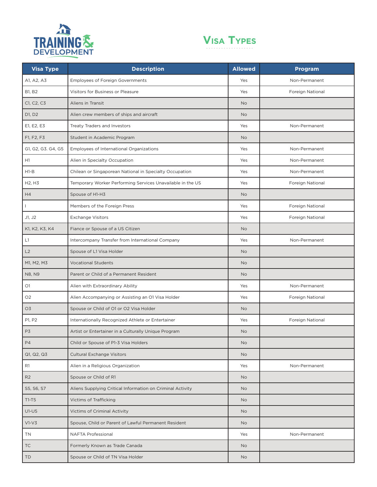



| <b>Visa Type</b>                | <b>Description</b>                                         | <b>Allowed</b> | Program          |
|---------------------------------|------------------------------------------------------------|----------------|------------------|
| A1, A2, A3                      | <b>Employees of Foreign Governments</b>                    | Yes            | Non-Permanent    |
| <b>B1, B2</b>                   | Visitors for Business or Pleasure                          | Yes            | Foreign National |
| C1, C2, C3                      | Aliens in Transit                                          | <b>No</b>      |                  |
| D1, D2                          | Alien crew members of ships and aircraft                   | <b>No</b>      |                  |
| E1, E2, E3                      | Treaty Traders and Investors                               | Yes            | Non-Permanent    |
| F1, F2, F3                      | Student in Academic Program                                | <b>No</b>      |                  |
| G1, G2, G3. G4, G5              | Employees of International Organizations                   | Yes            | Non-Permanent    |
| H1                              | Alien in Specialty Occupation                              | Yes            | Non-Permanent    |
| $H1-B$                          | Chilean or Singaporean National in Specialty Occupation    | Yes            | Non-Permanent    |
| H <sub>2</sub> , H <sub>3</sub> | Temporary Worker Performing Services Unavailable in the US | Yes            | Foreign National |
| H4                              | Spouse of H1-H3                                            | <b>No</b>      |                  |
|                                 | Members of the Foreign Press                               | Yes            | Foreign National |
| J1, J2                          | <b>Exchange Visitors</b>                                   | Yes            | Foreign National |
| K1, K2, K3, K4                  | Fiance or Spouse of a US Citizen                           | <b>No</b>      |                  |
| L1                              | Intercompany Transfer from International Company           | Yes            | Non-Permanent    |
| L2                              | Spouse of L1 Visa Holder                                   | <b>No</b>      |                  |
| M1, M2, M3                      | <b>Vocational Students</b>                                 | <b>No</b>      |                  |
| N8, N9                          | Parent or Child of a Permanent Resident                    | <b>No</b>      |                  |
| O1                              | Alien with Extraordinary Ability                           | Yes            | Non-Permanent    |
| O <sub>2</sub>                  | Alien Accompanying or Assisting an O1 Visa Holder          | Yes            | Foreign National |
| O <sub>3</sub>                  | Spouse or Child of O1 or O2 Visa Holder                    | <b>No</b>      |                  |
| P1, P2                          | Internationally Recognized Athlete or Entertainer          | Yes            | Foreign National |
| P3                              | Artist or Entertainer in a Culturally Unique Program       | <b>No</b>      |                  |
| <b>P4</b>                       | Child or Spouse of P1-3 Visa Holders                       | No             |                  |
| Q1, Q2, Q3                      | <b>Cultural Exchange Visitors</b>                          | <b>No</b>      |                  |
| R1                              | Alien in a Religious Organization                          | Yes            | Non-Permanent    |
| R2                              | Spouse or Child of R1                                      | <b>No</b>      |                  |
| S5, S6, S7                      | Aliens Supplying Critical Information on Criminal Activity | <b>No</b>      |                  |
| $T1-T5$                         | Victims of Trafficking                                     | <b>No</b>      |                  |
| $U1-U5$                         | <b>Victims of Criminal Activity</b>                        | <b>No</b>      |                  |
| $V1-V3$                         | Spouse, Child or Parent of Lawful Permanent Resident       | <b>No</b>      |                  |
| TN                              | NAFTA Professional                                         | Yes            | Non-Permanent    |
| TC                              | Formerly Known as Trade Canada                             | <b>No</b>      |                  |
| <b>TD</b>                       | Spouse or Child of TN Visa Holder                          | <b>No</b>      |                  |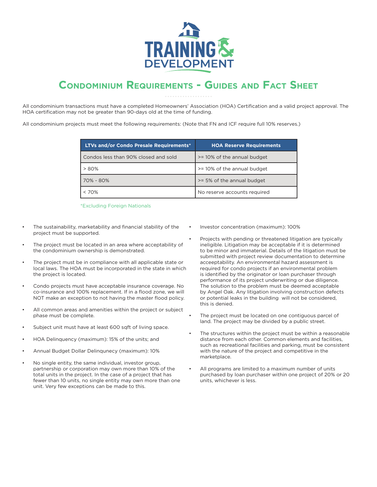

## **CONDOMINIUM REQUIREMENTS - GUIDES AND FACT SHEET**

All condominium transactions must have a completed Homeowners' Association (HOA) Certification and a valid project approval. The HOA certification may not be greater than 90-days old at the time of funding.

All condominium projects must meet the following requirements: (Note that FN and ICF require full 10% reserves.)

| <b>LTVs and/or Condo Presale Requirements*</b> | <b>HOA Reserve Requirements</b> |
|------------------------------------------------|---------------------------------|
| Condos less than 90% closed and sold           | >= 10% of the annual budget     |
| $> 80\%$                                       | >= 10% of the annual budget     |
| 70% - 80%                                      | >= 5% of the annual budget      |
| $< 70\%$                                       | No reserve accounts required    |

\*Excluding Foreign Nationals

- The sustainability, marketability and financial stability of the project must be supported.
- The project must be located in an area where acceptability of the condominium ownership is demonstrated.
- The project must be in compliance with all applicable state or local laws. The HOA must be incorporated in the state in which the project is located.
- Condo projects must have acceptable insurance coverage. No co-insurance and 100% replacement. If in a flood zone, we will NOT make an exception to not having the master flood policy.
- All common areas and amenities within the project or subject phase must be complete.
- Subject unit must have at least 600 sqft of living space.
- HOA Delinquency (maximum): 15% of the units; and
- Annual Budget Dollar Delinqunecy (maximum): 10%
- No single entity, the same individual, investor group, partnership or corporation may own more than 10% of the total units in the project. In the case of a project that has fewer than 10 units, no single entity may own more than one unit. Very few exceptions can be made to this.
- Investor concentration (maximum): 100%
- Projects with pending or threatened litigation are typically ineligible. Litigation may be acceptable if it is determined to be minor and immaterial. Details of the litigation must be submitted with project review documentation to determine acceeptability. An environmental hazard assessment is required for condo projects if an environmental problem is identified by the originator or loan purchaser through performance of its project underwriting or due diligence. The solution to the problem must be deemed acceptable by Angel Oak. Any litigation involving construction defects or potential leaks in the building will not be considered, this is denied.
- The project must be located on one contiguous parcel of land. The project may be divided by a public street.
- The structures within the project must be within a reasonable distance from each other. Common elements and facilities, such as recreational facilities and parking, must be consistent with the nature of the project and competitive in the marketplace.
- All programs are limited to a maximum number of units purchased by loan purchaser within one project of 20% or 20 units, whichever is less.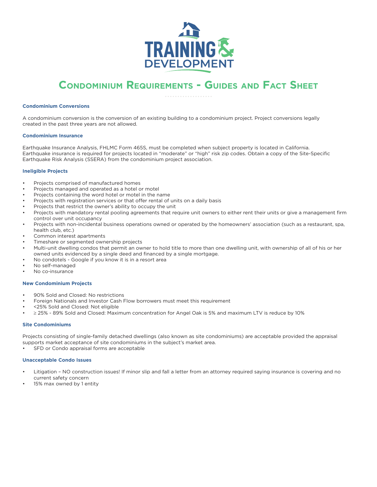

## **CONDOMINIUM REQUIREMENTS - GUIDES AND FACT SHEET**

#### **Condominium Conversions**

A condominium conversion is the conversion of an existing building to a condominium project. Project conversions legally created in the past three years are not allowed.

#### **Condominium Insurance**

Earthquake Insurance Analysis, FHLMC Form 465S, must be completed when subject property is located in California. Earthquake insurance is required for projects located in "moderate" or "high" risk zip codes. Obtain a copy of the Site-Specific Earthquake Risk Analysis (SSERA) from the condominium project association.

#### **Ineligible Projects**

- Projects comprised of manufactured homes
- Projects managed and operated as a hotel or motel
- Projects containing the word hotel or motel in the name
- Projects with registration services or that offer rental of units on a daily basis
- Projects that restrict the owner's ability to occupy the unit
- Projects with mandatory rental pooling agreements that require unit owners to either rent their units or give a management firm control over unit occupancy
- Projects with non-incidental business operations owned or operated by the homeowners' association (such as a restaurant, spa, health club, etc.)
- Common interest apartments
- Timeshare or segmented ownership projects
- Multi-unit dwelling condos that permit an owner to hold title to more than one dwelling unit, with ownership of all of his or her owned units evidenced by a single deed and financed by a single mortgage.
- No condotels Google if you know it is in a resort area
- No self-managed
- No co-insurance

#### **New Condominium Projects**

- 90% Sold and Closed: No restrictions
- Foreign Nationals and Investor Cash Flow borrowers must meet this requirement
- <25% Sold and Closed: Not eligible
- $\geq$  25% 89% Sold and Closed: Maximum concentration for Angel Oak is 5% and maximum LTV is reduce by 10%

#### **Site Condominiums**

Projects consisting of single-family detached dwellings (also known as site condominiums) are acceptable provided the appraisal supports market acceptance of site condominiums in the subject's market area.

SFD or Condo appraisal forms are acceptable

#### **Unacceptable Condo Issues**

- Litigation NO construction issues! If minor slip and fall a letter from an attorney required saying insurance is covering and no current safety concern
- 15% max owned by 1 entity